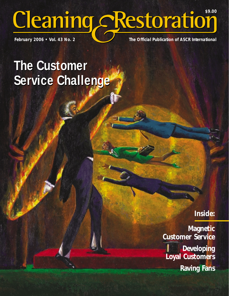# February 2006 • Vol. 43 No. 2 **The Official Publication of ASCR International** Cleaning cRestoration

# **The Customer The Customer Service Challenge Service Challenge**

### **Inside:**

**Magnetic Customer Service Developing Loyal Customers Raving Fans**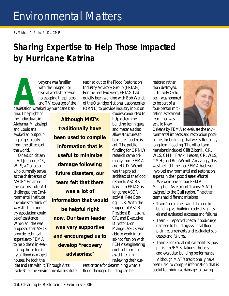## Environmental Matters

*By Michael A. Pinto, Ph.D., CMP* 

## **Sharing Expertise to Help Those Impacted by Hurricane Katrina**

*Although MAT's* 

*traditionally have* 

*information that is* 

*useful to minimize* 

*damage following* 

*team felt that there* 

*was a lot of* 

*be helpful right*

*develop "recovery* 

*advisories."*

**Averyone was familiar**<br>
with the images. For<br>
several weeks there was<br>
no escaping the photos<br>
and TV coverage of the<br>
devastation wreaked by hurricane Katwith the images. For several weeks there was no escaping the photos and TV coverage of the

rina. The plight of the individuals in Alabama, Mississippi and Louisiana evoked an outpouring of generosity from the citizens of the world.

One such citizen is Art Johnson, CR, WLS, a Canadian who currently serves as the chairperson of ASCR's Environmental Institute. Art challenged the Environmental Institute members to think of ways that our industry association could be of assistance. When an idea was proposed that ASCR provide technical expertise to FEMA to help them in evaluating the restorability of flood damaged houses, he took the

idea and ran with it. Through Art's leadership, the Environmental Institute

reached out to the Flood Restoration Industry Advisory Group (FRIAG). For the past two years, FRIAG had quietly been working with Bob Wendt of the Oakridge National Laboratories (ORNL) to provide industry input on

studies conducted to help determine building techniques and materials that allow structures to be more flood resistant. The public funding for ORNL's research came primarily from FEMA and HUD. Wendt was the project architect of the flood research. ASCR's liaison to FRIAG is longtime ASCR activist, Pete Consigli, CR. With the support of ASCR President Bill Lakin, CR, and Executive Director Don Manger, ASCR was able to work in an ad-hoc fashion with FEMA's engineering contract team to assist them in reviewing their cur*been used to compile future disasters, our information that would now. Our team leader was very supportive and encouraged us to* 

> rent criteria for determining when a flood-damaged building can be

restored rather than destroyed.

In early October I was honored to be part of a four-person mitigation assessment team that was sent to New



Orleans by FEMA to evaluate the environmental impacts and restoration possibilities for buildings that were affected by long-term flooding. The other team members included Cliff Zlotnik, CR, WLS, CMH; Frank Headen, CR, WLS, CMH; and Bob Wendt. Amazingly, this was the first time that FEMA had ever involved environmental and restoration experts in their post disaster efforts!

We were one of four FEMA Mitigation Assessment Teams (MAT) assigned to the Gulf region. The other teams had different missions:

- Team 1 examined wind damage to buildings vs. building code design levels and evaluated successes and failures.
- Team 2 inspected coastal flood/surge damage to buildings vs. local floodplain requirements and evaluated successes and failures.
- Team 3 looked at critical facilities (hospitals, fire/EMS stations, shelters) and evaluated building performance

Although MAT's traditionally have been used to compile information that is useful to minimize damage following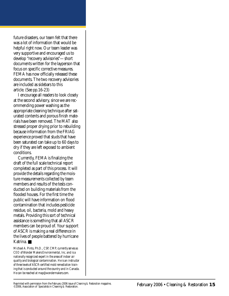future disasters, our team felt that there was a lot of information that would be helpful right now. Our team leader was very supportive and encouraged us to develop "recovery advisories"—short documents written for the layperson that focus on specific corrective measures. FEMA has now officially released these documents. The two recovery advisories are included as sidebars to this article. (See pp.16-23)

I encourage all readers to look closely at the second advisory, since we are recommending power washing as the appropriate cleaning technique after saturated contents and porous finish materials have been removed. The MAT also stressed proper drying prior to rebuilding because information from the FRIAG experience proved that studs that have been saturated can take up to 60 days to dry if they are left exposed to ambient conditions.

Currently, FEMA is finalizing the draft of the full scale technical report completed as part of this process. It will provide the details regarding the moisture measurements collected by team members and results of the tests conducted on building materials from the flooded houses. For the first time the public will have information on flood contamination that includes pesticide residue, oil, bacteria, mold and heavy metals. Providing this sort of technical assistance is something that all ASCR members can be proud of. Your support of ASCR is making a real difference in the lives of people battered by hurricane Katrina. ■

*Michael A. Pinto, Ph.D., CSP, CMP, currently serves as CEO of Wonder Makers Environmental, Inc. and is a nationally recognized expert in the areas of indoor air quality and biological contamination. He is an instructor of three levels of ASCR-certified mold remediation training that is conducted around the country and in Canada. He can be reached at map@wondermakers.com.*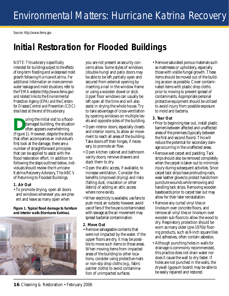*Source: http://www.fema.gov*

## **Initial Restoration for Flooded Buildings**

*NOTE: This advisory is specifically intended for buildings subject to the effects of long-term flooding and widespread mold growth following Hurricane Katrina. For additional information on more common water leakage and mold situations, refer to the FEMA website (http://www.fema.gov) and related links to the Environmental Protection Agency (EPA) and the Centers for Disease Control and Prevention (CDC) sites listed at the end of this advisory.*

Using the initial visit to a flood-<br>damaged building, the situation<br>often appears overwhelming<br>(Figure 1) However despite the shock damaged building, the situation often appears overwhelming (Figure 1). However, despite the shock that often accompanies an individual's first look at the damage, there are a number of straightforward principles that can be applied to assist with the flood restoration effort. In addition to following the steps outlined below, individuals should review the Hurricane Katrina Recovery Advisory, The ABC's of Returning to Flooded Buildings.

#### *1. Air Out*

• To promote drying, open all doors and windows whenever you are present and leave as many open when

*Figure 1. Typical flood damage to furniture and interior walls (Hurricane Katrina).*



you are not present as security concerns allow. Some styles of windows (double-hung) and patio doors may be able to be left partially open and secured from external opening by inserting a nail in the window frame or using a wooden dowel or stick. Upper floor windows can usually be left open all the time and will also assist in drying the whole house. Try to take advantage of cross-ventilation by opening windows on multiple levels and opposite sides of the building.

- Open interior doors, especially closets and interior rooms, to allow air movement to reach all areas of the building. Take doors off their hinges, if necessary, to promote air flow.
- Open kitchen cabinet and bathroom vanity doors; remove drawers and stack them to dry.
- Open the attic access, if available, to increase ventilation. Consider the benefits (improved drying) and risks (falling dust, insulation or other debris) of adding an attic access where none exists.
- When electricity is available, use fans to push moist air outside; however, avoid use of fans if the house is contaminated with sewage as the air movement may spread bacterial contamination.

#### *2. Move Out*

• Remove salvageable contents that were not impacted by the water. If the upper floors are dry, it may be possible to move such items to those areas. When moving items from impacted areas of the building to other locations, consider using protective mats or non-slip drop cloths (e.g., fabric painter cloths) to avoid contamination of unimpacted surfaces.

• Remove saturated porous materials such as mattresses or upholstery, especially those with visible fungal growth. These items should be moved out of the building as soon as possible. Cover contaminated items with plastic drop cloths prior to moving to prevent spread of contaminants. Appropriate personal protective equipment should be utilized to avoid injury from possible exposure to mold and bacteria.

#### *3. Tear Out*

- Prior to beginning tear out, install plastic barriers between affected and unaffected areas of the premises (typically between the first and second floors). This will reduce the potential for secondary damage occurring in the unaffected areas.
- Remove wet carpet and padding. Tack strips should also be removed completely when the carpet is taken out to minimize injury during subsequent activities. Since carpet tack strips have protruding nails, wear leather gloves to protect hands from puncture wounds while removing and handling tack strips. Removing wooden baseboards prior to carpet tear out may allow for their later reinstallation.
- Remove any curled vinyl tiles or linoleum over concrete floors, and remove all vinyl tiles or linoleum over wooden sub-floors to allow the wood to dry. Respiratory protection should be worn as many older (pre-1970s) flooring products, such as 9-inch square tiles and adhesives, often contain asbestos.
- Although punching holes in walls for drainage is commonly recommended, this practice does not drain water nor does it cause the wall to dry faster. If holes are not punched in the walls, the drywall (gypsum board) may be able to be easily repaired and restored.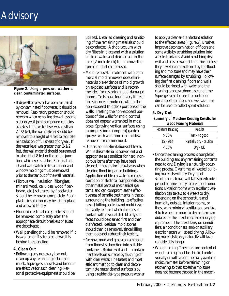## **Advisory**



*Figure 2. Using a pressure washer to clean contaminated surfaces.*

- If drywall or plaster has been saturated by contaminated floodwater, it should be removed. Respiratory protection should be worn when removing drywall as some older drywall joint compound contains asbestos. If the water level was less than 2-1/2 feet, the wall material should be removed to a height of 4 feet to facilitate reinstallation of full sheets of drywall. If the water level was greater than 2-1/2 feet, the wall material should be removed to a height of 8 feet or the ceiling junction, whichever is higher. Electrical outlet and wall switch plates and door and window moldings must be removed prior to the tear out of the wall material.
- Fibrous wall insulation (fiberglass, mineral wool, cellulose, wood fiberboard, etc.) saturated by floodwater should be removed completely. Foam plastic insulation may be left in place and allowed to dry.
- Flooded electrical receptacles should be removed completely after the appropriate circuit breakers or fuses are deactivated.
- Wall paneling should be removed if it is swollen or if saturated drywall is behind the paneling.
- *4. Clean Out*
- Following any necessary tear out, clean up any remaining debris and muck. Squeegees, shovels and brooms are effective for such cleaning. Personal protective equipment should be

utilized. Detailed cleaning and sanitizing of the remaining materials should be conducted. A shop vacuum with dry filters in place and with a solution of clean water and disinfectant in the tank (2-inch depth) to minimize the spread of dust can be used.

- Mold removal. Treatment with commercial mold removers does eliminate visible evidence of mold growth on exposed surfaces and is recommended for restoring flood-damaged homes. Tests have found very little or no evidence of mold growth in the non-exposed (hidden) portions of the walls. Treating the non-exposed portions of the walls for mold control does not appear warranted in most cases. Spraying vertical surfaces using a compression (pump-up) garden sprayer with a commercial mildew remover is recommended.
- Understand the limitations of bleach. While this material is convenient and appropriate as a sanitizer for hard, nonporous items after they have been cleaned, it has distinct drawbacks when cleaning flood-impacted buildings. Application of bleach water can cause corrosion of electrical components and other metal parts of mechanical systems, and can compromise the effectiveness of termite treatments in the soil surrounding the building. Its effectiveness at killing bacteria and mold is significantly reduced when it comes in contact with residual dirt. Moldy surfaces should be cleaned first and then disinfected. Residual mold spores should then be removed, since killing them does not reduce their toxicity.
- Remove mud and gross contamination from floors by shoveling into suitable containers. Reduce soil and contaminant levels on surfaces by flushing off with clear water. The fastest and most efficient method to clean and decontaminate materials and surfaces is by using a residential-type pressure washer

to apply a cleaner-disinfectant solution to the affected areas (Figure 2). Brushes improve decontamination of floors and some walls by scrubbing solution into affected surfaces. Avoid scrubbing drywall and plaster walls at this time because they have become softened by the flooding and moisture and may have their surface damaged by scrubbing. Following the first cleaning, floors and walls should be rinsed with water and the cleaning process redone a second time. Squeegees can be used to control or direct spent solution, and wet vacuums can be used to collect spent solution.

#### *5. Dry Out*

**Summary of Moisture Reading Results for Wood Framing Materials**

| <b>Moisture Reading</b> | <b>Results</b>          |
|-------------------------|-------------------------|
| $>20\%$                 | Wet - no good           |
| $15 - 20%$              | Partially dry - caution |
| < 15%                   | Dry - OK                |

- Once the cleaning process is completed, the building and any remaining contents need to dry. Drying is a naturally occurring process. Over time, all wetted building materials will dry. Drying of structural materials will take an extended period of time to dry to pre-flood conditions. Exterior rooms with excellent ventilation can take 2 to 4 weeks to dry, depending on the temperature and humidity outside. Interior rooms, or those with minimal ventilation, can take 4 to 6 weeks or more to dry and are candidates for the use of mechanical drying equipment. The use of fans, dehumidifiers, air conditioners, and/or auxiliary electric heaters will speed drying. Allowing materials to dry naturally will take considerably longer.
- Wood framing. The moisture content of wood framing must be checked professionally or with a commercially available moisture meter before refinishing or recovering so that excessive moisture does not become trapped in the materi-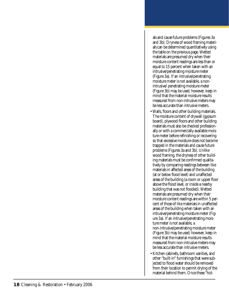als and cause future problems (Figures 3a and 3b). Dryness of wood framing materials can be determined quantitatively using the table on the previous page. Wetted materials are presumed dry when their moisture content readings are less than or equal to 15 percent when taken with an intrusive/penetrating moisture meter (Figure 3a). If an intrusive/penetrating moisture meter is not available, a nonintrusive/ penetrating moisture meter (Figure 3b) may be used; however, keep in mind that the material moisture results measured from non-intrusive meters may be less accurate than intrusive meters.

- Walls, floors and other building materials. The moisture content of drywall (gypsum board), plywood floors and other building materials must also be checked professionally or with a commercially available moisture meter before refinishing or recovering so that excessive moisture does not become trapped in the materials and cause future problems (Figures 3a and 3b). Unlike wood framing, the dryness of other building materials must be confirmed qualitatively by comparing readings between like materials in affected areas of the building (at or below flood level) and unaffected areas of the building (a room or upper floor above the flood level, or inside a nearby building that was not flooded). Wetted materials are presumed dry when their moisture content readings are within 5 percent of those of like materials in unaffected areas of the building when taken with an intrusive/penetrating moisture meter (Figure 3a). If an intrusive/penetrating moisture meter is not available, a non-intrusive/penetrating moisture meter (Figure 3b) may be used; however, keep in mind that the material moisture results measured from non-intrusive meters may be less accurate than intrusive meters.
- Kitchen cabinets, bathroom vanities, and other "built-in" furnishings that were subjected to flood water should be removed from their location to permit drying of the material behind them. Once these "hid-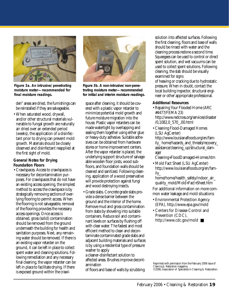

*Figure 3a. An intrusive/penetrating moisture meter—recommended for final moisture readings.*

den" areas are dried, the furnishings can be reinstalled if they are salvageable.

• When saturated wood, drywall, and/or other structural materials vulnerable to fungal growth are naturally air dried over an extended period (weeks), the application of a disinfectant prior to drying can prevent mold growth. Materials should be closely observed and disinfectant reapplied at the first sight of mold.

#### *General Notes for Drying Foundation Floors*

• Crawlspaces. Access to crawlspaces is necessary for decontamination purposes. For crawlspaces that do not have an existing access opening, the simplest method to access the crawlspace is by strategically removing sections of overlying flooring to permit access. When the flooring is not salvageable, removal of the flooring provides the necessary access openings. Once access is obtained, gross (solid) contamination should be removed from the ground underneath the building for health and sanitation purposes. Next, any remaining water should be removed. If there is an existing vapor retarder on the ground, it can be left in place to collect spent water and cleaning solutions. Following remediation and any necessary final cleaning, the vapor retarder can be left in place to facilitate drying. If there is exposed ground within the crawl-



*Figure 3b. A non-intrusive/non-penetrating moisture meter—recommended for initial and interim moisture readings.*

space after cleaning, it should be covered with a plastic vapor retarder to minimize potential mold growth and future moisture migration into the house. Plastic vapor retarders can be made watertight by overlapping and sealing them together using either glue or heavy-duty adhesive. Suitable adhesives can be obtained from hardware stores or home improvement centers. After the vapor retarder is placed, the underlying support structure of salvageable wooden floor joists, wood subfloors, and foundation walls should be cleaned and sanitized. Following cleaning, application of a wood preservative will provide protection against fungi and wood destroying insects.

• Grade slabs. Concrete grade slabs provide a dense barrier between the ground and the interior of the home. Remove mud and gross contamination from slabs by shoveling into suitable containers. Reduce soil and contaminant levels on surfaces by flushing off with clear water. The fastest and most efficient method to clean and decontaminate contaminated grade slabs and adjacent building materials and surfaces is by using a residential type of pressure washer to apply a cleaner-disinfectant solution to

affected areas. Brushes improve decontamination

of floors and base of walls by scrubbing

solution into affected surfaces. Following the first cleaning, floors and base of walls should be rinsed with water and the cleaning process redone a second time. Squeegees can be used to control or direct spent solution, and wet vacuums can be used to collect spent solutions. Following cleaning, the slab should be visually examined for signs of heaving or cracking due to hydrostatic pressure. When in doubt, contact the

*Additional Resources*

• Repairing Your Flooded Home (ARC #4477/FEMA 23) http://www.redcross.org/services/disaster /0,1082,0\_570\_,00.html

local building inspector, structural engineer or other appropriate professional.

• Cleaning Flood-Damaged Homes (LSU AgCenter) http://www.louisianafloods.org/en/family\_ home/hazards\_and\_threats/recovery\_ assistance/cleaning\_up/structural\_damage/

Cleaning+FloodDamaged+Homes.htm

• Mold Fact Sheet (LSU AgCenter) http://www.louisianafloods.org/en/family\_

home/home/health\_safety/indoor\_air\_ quality\_mold/Mold+Fact+Sheet.htm

For additional information on more common water leakage and mold situations:

- Environmental Protection Agency (EPA), http://www.epa.gov/mold
- Centers for Disease Control and Prevention (CDC), http://www.cdc.gov/mold ■

Reprinted with permission from the February 2006 issue of *Cleaning & Restoration* magazine, ©2006, Association of Specialists in Cleaning & Restoration.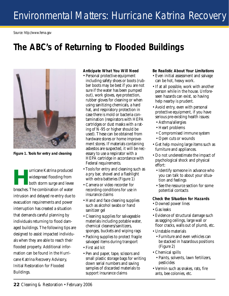*Source: http://www.fema.gov*

## **The ABC's of Returning to Flooded Buildings**



*Figure 1. Tools for entry and cleaning*

**Hurricane Katrina produced**<br>
widespread flooding from<br>
both storm surge and levee widespread flooding from both storm surge and levee breaches. The combination of water intrusion and delayed re-entry due to evacuation requirements and power interruption has created a situation that demands careful planning by individuals returning to flood damaged buildings. The following tips are designed to assist impacted individuals when they are able to reach their flooded property. Additional information can be found in the Hurricane Katrina Recovery Advisory, Initial Restoration for Flooded Buildings.

#### *Anticipate What You Will Need*

- Personal protective equipment including safety shoes or boots (rubber boots may be best if you are not sure if the water has been pumped out), work gloves, eye protection, rubber gloves for cleaning or when using sanitizing chemicals, a hard hat, and respiratory protection in case there is mold or bacteria contamination (respirators with HEPA cartridges or dust masks with a rating of N-95 or higher should be used). These can be obtained from hardware stores or home improvement stores. If materials containing asbestos are suspected, it will be necessary to use a respirator with a HEPA cartridge in accordance with Federal requirements.
- Tools for entry and cleaning such as a pry bar, shovel and a flashlight with extra batteries (Figure 1)
- Camera or video recorder for recording conditions for use in insurance claims
- Hand and face cleaning supplies such as alcohol swabs or hand sanitizer gel
- Cleaning supplies for salvageable materials including potable water, chemical cleaners/sanitizers, sponges, buckets and wiping rags
- Packing supplies to protect fragile salvaged items during transport
- First aid kit
- Pen and paper, tape, scissors and small plastic storage bags for writing down serial numbers and saving samples of discarded materials to support insurance claims

#### *Be Realistic About Your Limitations*

- Even initial assessment and salvage can be hot, heavy work.
- If at all possible, work with another person while in the house. Unforeseen hazards can exist, so having help nearby is prudent.
- Avoid entry, even with personal protective equipment, if you have serious pre-existing health issues:
	- Asthma/allergies
	- Heart problems
	- Compromised immune system
	- Open cuts or wounds
- Get help moving large items such as furniture and appliances.
- Do not underestimate the impact of psychological shock and physical effort:
	- Identify someone in advance who you can talk to about your situation and feelings
	- See the resource section for some potential contacts

#### *Check the Situation for Hazards*

- Downed power lines
- Gas leaks
- Evidence of structural damage such as sagging ceilings, large wall or floor cracks, walls out of plumb, etc.
- Unstable materials
	- Furniture and even vehicles can be stacked in hazardous positions (Figure 2)
- Chemical spills
	- Paints, solvents, lawn fertilizers, pesticides
- Vermin such as snakes, rats, fire ants, bee colonies, etc.